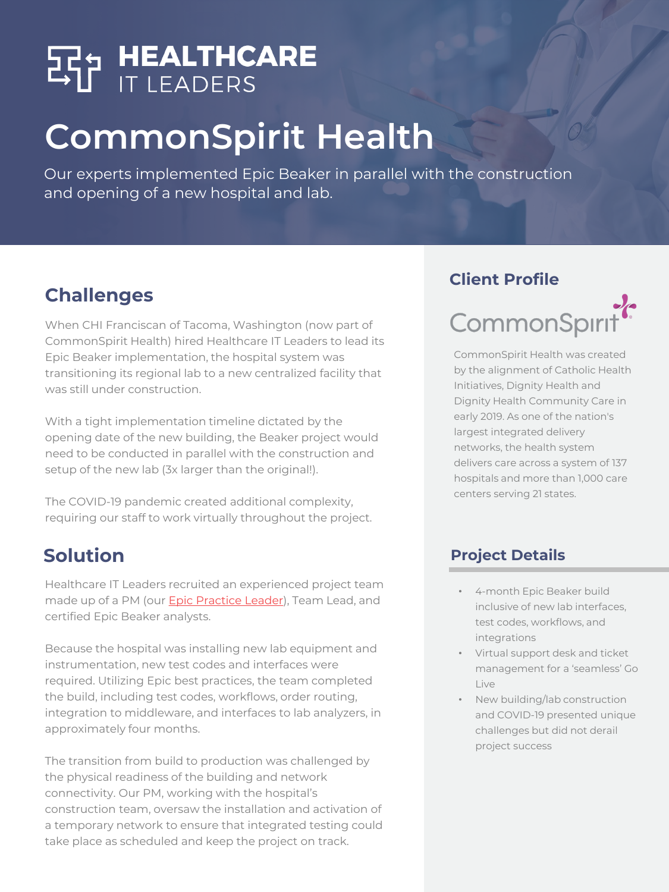# **SP<sub>5</sub> HEALTHCARE**

# **CommonSpirit Health**

Our experts implemented Epic Beaker in parallel with the construction and opening of a new hospital and lab.

# **Challenges**

When CHI Franciscan of Tacoma, Washington (now part of CommonSpirit Health) hired Healthcare IT Leaders to lead its Epic Beaker implementation, the hospital system was transitioning its regional lab to a new centralized facility that was still under construction.

With a tight implementation timeline dictated by the opening date of the new building, the Beaker project would need to be conducted in parallel with the construction and setup of the new lab (3x larger than the original!).

The COVID-19 pandemic created additional complexity, requiring our staff to work virtually throughout the project.

# **Solution**

Healthcare IT Leaders recruited an experienced project team made up of a PM (our **Epic Practice Leader**), Team Lead, and certified Epic Beaker analysts.

Because the hospital was installing new lab equipment and instrumentation, new test codes and interfaces were required. Utilizing Epic best practices, the team completed the build, including test codes, workflows, order routing, integration to middleware, and interfaces to lab analyzers, in approximately four months.

The transition from build to production was challenged by the physical readiness of the building and network connectivity. Our PM, working with the hospital's construction team, oversaw the installation and activation of a temporary network to ensure that integrated testing could take place as scheduled and keep the project on track.

#### **Client Profile**



CommonSpirit Health was created by the alignment of Catholic Health Initiatives, Dignity Health and Dignity Health Community Care in early 2019. As one of the nation's largest integrated delivery networks, the health system delivers care across a system of 137 hospitals and more than 1,000 care centers serving 21 states.

#### **Project Details**

- 4-month Epic Beaker build inclusive of new lab interfaces, test codes, workflows, and integrations
- Virtual support desk and ticket management for a 'seamless' Go Live
- New building/lab construction and COVID-19 presented unique challenges but did not derail project success